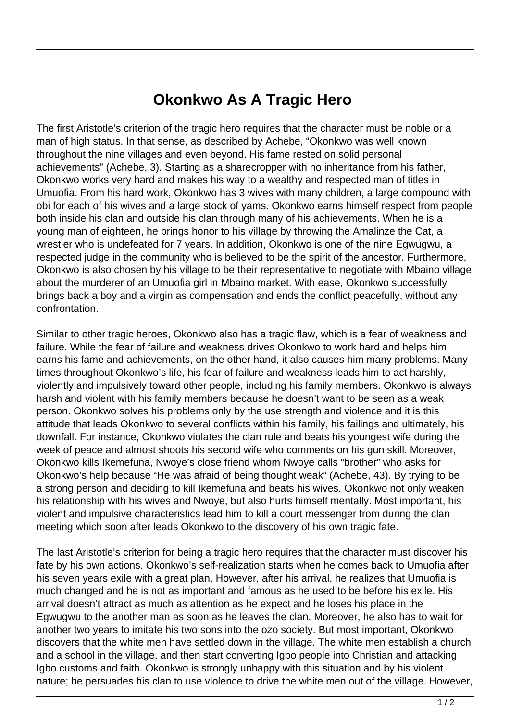## **Okonkwo As A Tragic Hero**

The first Aristotle's criterion of the tragic hero requires that the character must be noble or a man of high status. In that sense, as described by Achebe, "Okonkwo was well known throughout the nine villages and even beyond. His fame rested on solid personal achievements" (Achebe, 3). Starting as a sharecropper with no inheritance from his father, Okonkwo works very hard and makes his way to a wealthy and respected man of titles in Umuofia. From his hard work, Okonkwo has 3 wives with many children, a large compound with obi for each of his wives and a large stock of yams. Okonkwo earns himself respect from people both inside his clan and outside his clan through many of his achievements. When he is a young man of eighteen, he brings honor to his village by throwing the Amalinze the Cat, a wrestler who is undefeated for 7 years. In addition, Okonkwo is one of the nine Egwugwu, a respected judge in the community who is believed to be the spirit of the ancestor. Furthermore, Okonkwo is also chosen by his village to be their representative to negotiate with Mbaino village about the murderer of an Umuofia girl in Mbaino market. With ease, Okonkwo successfully brings back a boy and a virgin as compensation and ends the conflict peacefully, without any confrontation.

Similar to other tragic heroes, Okonkwo also has a tragic flaw, which is a fear of weakness and failure. While the fear of failure and weakness drives Okonkwo to work hard and helps him earns his fame and achievements, on the other hand, it also causes him many problems. Many times throughout Okonkwo's life, his fear of failure and weakness leads him to act harshly, violently and impulsively toward other people, including his family members. Okonkwo is always harsh and violent with his family members because he doesn't want to be seen as a weak person. Okonkwo solves his problems only by the use strength and violence and it is this attitude that leads Okonkwo to several conflicts within his family, his failings and ultimately, his downfall. For instance, Okonkwo violates the clan rule and beats his youngest wife during the week of peace and almost shoots his second wife who comments on his gun skill. Moreover, Okonkwo kills Ikemefuna, Nwoye's close friend whom Nwoye calls "brother" who asks for Okonkwo's help because "He was afraid of being thought weak" (Achebe, 43). By trying to be a strong person and deciding to kill Ikemefuna and beats his wives, Okonkwo not only weaken his relationship with his wives and Nwoye, but also hurts himself mentally. Most important, his violent and impulsive characteristics lead him to kill a court messenger from during the clan meeting which soon after leads Okonkwo to the discovery of his own tragic fate.

The last Aristotle's criterion for being a tragic hero requires that the character must discover his fate by his own actions. Okonkwo's self-realization starts when he comes back to Umuofia after his seven years exile with a great plan. However, after his arrival, he realizes that Umuofia is much changed and he is not as important and famous as he used to be before his exile. His arrival doesn't attract as much as attention as he expect and he loses his place in the Egwugwu to the another man as soon as he leaves the clan. Moreover, he also has to wait for another two years to imitate his two sons into the ozo society. But most important, Okonkwo discovers that the white men have settled down in the village. The white men establish a church and a school in the village, and then start converting Igbo people into Christian and attacking Igbo customs and faith. Okonkwo is strongly unhappy with this situation and by his violent nature; he persuades his clan to use violence to drive the white men out of the village. However,